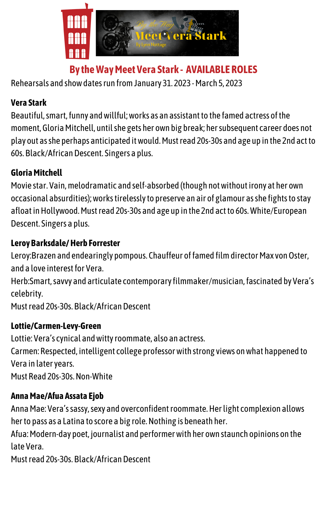

**By theWayMeet Vera Stark -AVAILABLE ROLES**

Rehearsals and show dates run from January 31. 2023 - March 5, 2023

### **Vera Stark**

Beautiful, smart, funny and willful; works as an assistant to the famed actress of the moment, Gloria Mitchell, until she gets her own big break; her subsequent career does not play out asshe perhaps anticipated itwould.Mustread 20s-30s and age up in the 2nd actto 60s. Black/African Descent. Singers a plus.

### **GloriaMitchell**

Movie star. Vain, melodramatic and self-absorbed (though not without irony at her own occasional absurdities); works tirelessly to preserve an air of glamour as she fights to stay afloat in Hollywood. Must read 20s-30s and age up in the 2nd act to 60s. White/European Descent. Singers a plus.

### **Leroy Barksdale/Herb Forrester**

Leroy:Brazen and endearingly pompous. Chauffeur of famed film director Max von Oster, and a love interest for Vera.

Herb:Smart, savvy and articulate contemporary filmmaker/musician, fascinated by Vera's celebrity.

Must read 20s-30s. Black/AfricanDescent

#### **Lottie/Carmen-Levy-Green**

Lottie: Vera's cynical andwittyroommate, also an actress.

Carmen: Respected, intelligent college professorwith strong views onwhat happened to Vera in lateryears.

Must Read 20s-30s.Non-White

# **AnnaMae/Afua Assata Ejob**

Anna Mae: Vera's sassy, sexy and overconfident roommate. Her light complexion allows her to pass as a Latina to score a big role. Nothing is beneath her.

Afua: Modern-day poet, journalist and performer with her own staunch opinions on the late Vera.

Must read 20s-30s. Black/AfricanDescent